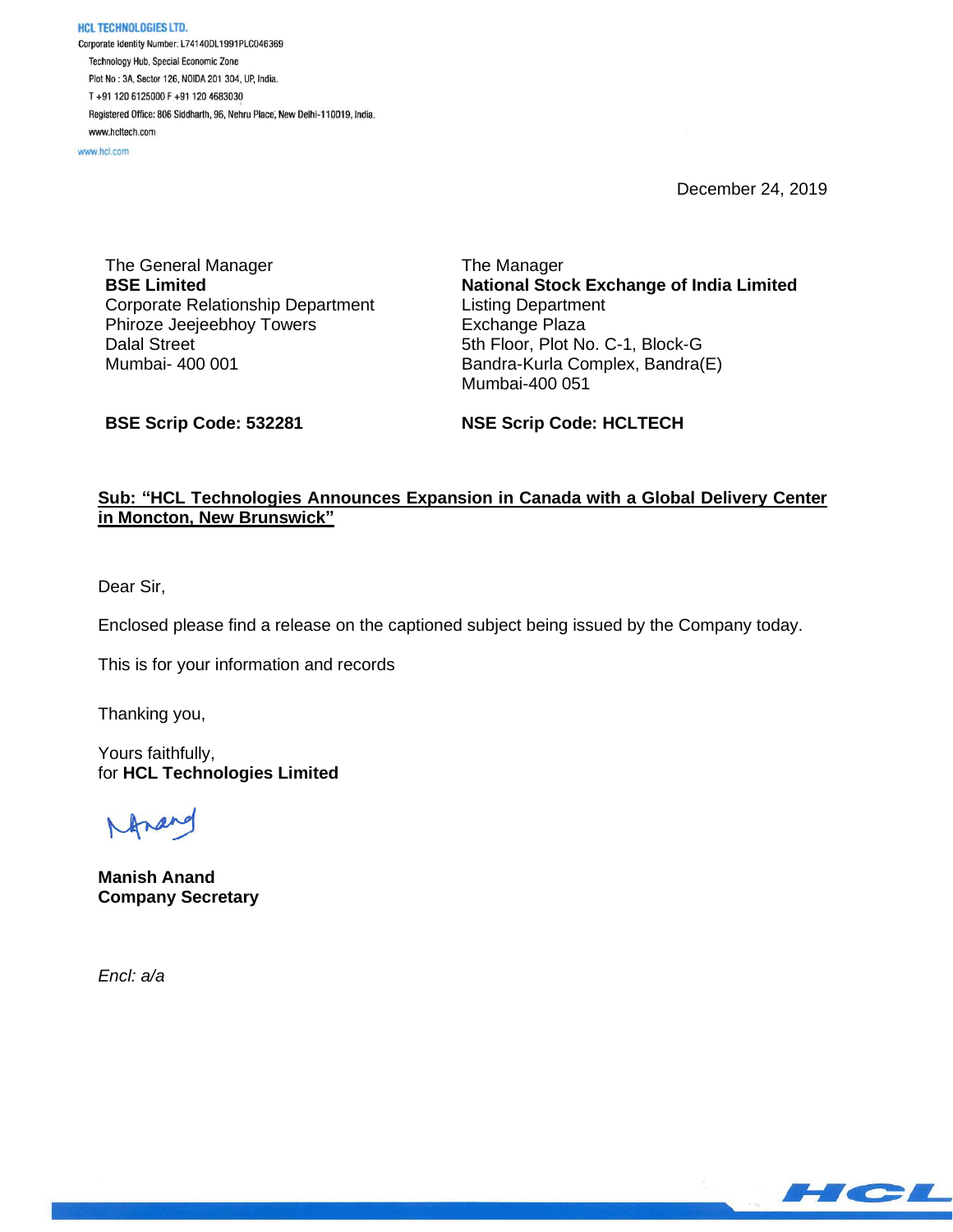HCL TECHNOLOGIES LTD. Corporate Identity Number: L74140DL1991PLC046369 Technology Hub, Special Economic Zone Plot No: 3A, Sector 126, NOIDA 201 304, UP, India. T+91 120 6125000 F+91 120 4683030 Registered Office: 806 Siddharth, 96, Nehru Place, New Delhi-110019, India. www.hcltech.com

www.hcl.com

December 24, 2019

The General Manager **BSE Limited** Corporate Relationship Department Phiroze Jeejeebhoy Towers Dalal Street Mumbai- 400 001

The Manager **National Stock Exchange of India Limited** Listing Department Exchange Plaza 5th Floor, Plot No. C-1, Block-G Bandra-Kurla Complex, Bandra(E) Mumbai-400 051

**BSE Scrip Code: 532281**

**NSE Scrip Code: HCLTECH**

### **Sub: "HCL Technologies Announces Expansion in Canada with a Global Delivery Center in Moncton, New Brunswick"**

Dear Sir,

Enclosed please find a release on the captioned subject being issued by the Company today.

This is for your information and records

Thanking you,

Yours faithfully, for **HCL Technologies Limited**

**Manish Anand Company Secretary**

*Encl: a/a*

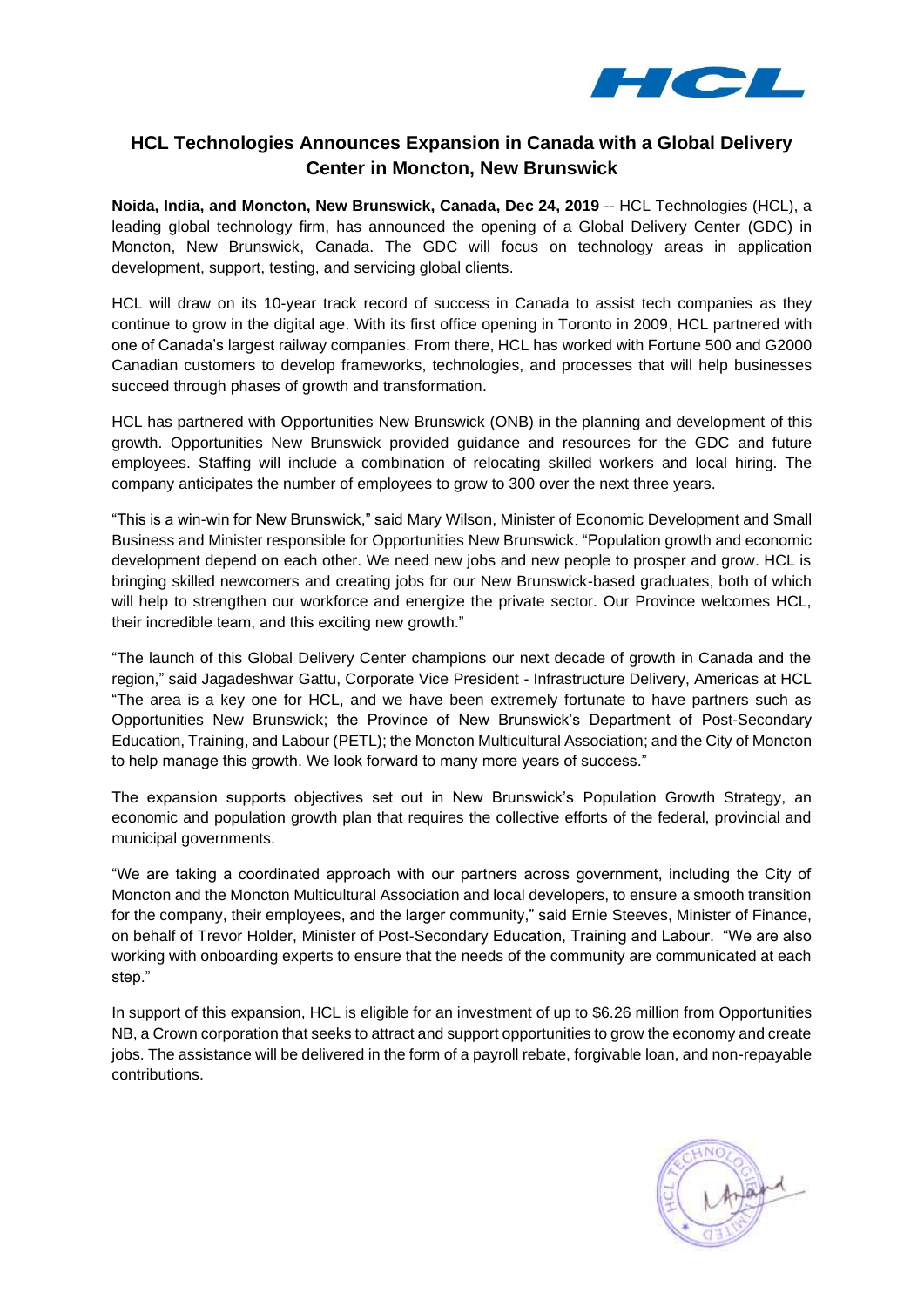

# **HCL Technologies Announces Expansion in Canada with a Global Delivery Center in Moncton, New Brunswick**

**Noida, India, and Moncton, New Brunswick, Canada, Dec 24, 2019** -- HCL Technologies (HCL), a leading global technology firm, has announced the opening of a Global Delivery Center (GDC) in Moncton, New Brunswick, Canada. The GDC will focus on technology areas in application development, support, testing, and servicing global clients.

HCL will draw on its 10-year track record of success in Canada to assist tech companies as they continue to grow in the digital age. With its first office opening in Toronto in 2009, HCL partnered with one of Canada's largest railway companies. From there, HCL has worked with Fortune 500 and G2000 Canadian customers to develop frameworks, technologies, and processes that will help businesses succeed through phases of growth and transformation.

HCL has partnered with Opportunities New Brunswick (ONB) in the planning and development of this growth. Opportunities New Brunswick provided guidance and resources for the GDC and future employees. Staffing will include a combination of relocating skilled workers and local hiring. The company anticipates the number of employees to grow to 300 over the next three years.

"This is a win-win for New Brunswick," said Mary Wilson, Minister of Economic Development and Small Business and Minister responsible for Opportunities New Brunswick. "Population growth and economic development depend on each other. We need new jobs and new people to prosper and grow. HCL is bringing skilled newcomers and creating jobs for our New Brunswick-based graduates, both of which will help to strengthen our workforce and energize the private sector. Our Province welcomes HCL, their incredible team, and this exciting new growth."

"The launch of this Global Delivery Center champions our next decade of growth in Canada and the region," said Jagadeshwar Gattu, Corporate Vice President - Infrastructure Delivery, Americas at HCL "The area is a key one for HCL, and we have been extremely fortunate to have partners such as Opportunities New Brunswick; the Province of New Brunswick's Department of Post-Secondary Education, Training, and Labour (PETL); the Moncton Multicultural Association; and the City of Moncton to help manage this growth. We look forward to many more years of success."

The expansion supports objectives set out in New Brunswick's Population Growth Strategy, an economic and population growth plan that requires the collective efforts of the federal, provincial and municipal governments.

"We are taking a coordinated approach with our partners across government, including the City of Moncton and the Moncton Multicultural Association and local developers, to ensure a smooth transition for the company, their employees, and the larger community," said Ernie Steeves, Minister of Finance, on behalf of Trevor Holder, Minister of Post-Secondary Education, Training and Labour. "We are also working with onboarding experts to ensure that the needs of the community are communicated at each step."

In support of this expansion, HCL is eligible for an investment of up to \$6.26 million from Opportunities NB, a Crown corporation that seeks to attract and support opportunities to grow the economy and create jobs. The assistance will be delivered in the form of a payroll rebate, forgivable loan, and non-repayable contributions.

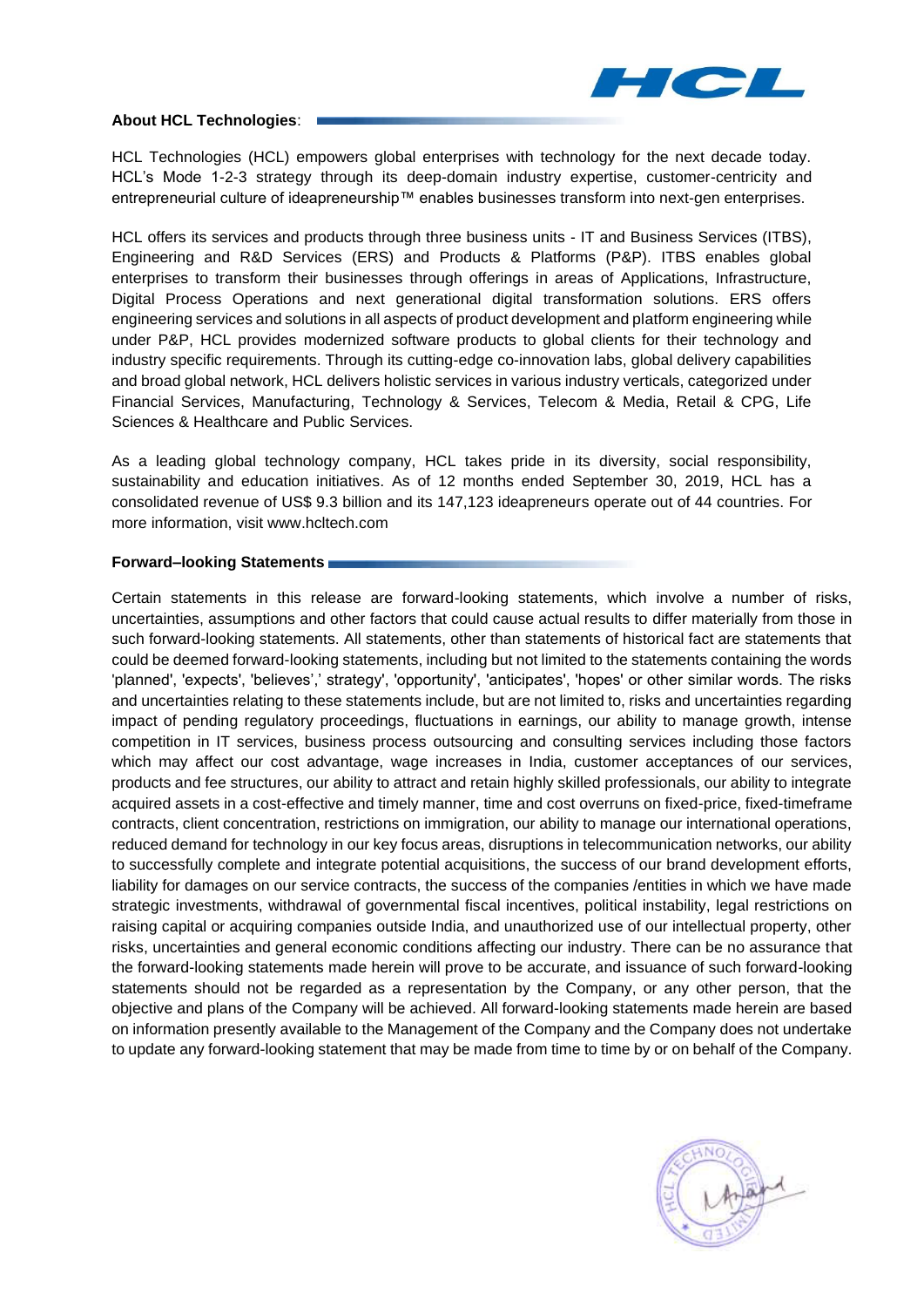

### **About HCL Technologies**:

HCL Technologies (HCL) empowers global enterprises with technology for the next decade today. HCL's Mode 1-2-3 strategy through its deep-domain industry expertise, customer-centricity and entrepreneurial culture of ideapreneurship™ enables businesses transform into next-gen enterprises.

HCL offers its services and products through three business units - IT and Business Services (ITBS), Engineering and R&D Services (ERS) and Products & Platforms (P&P). ITBS enables global enterprises to transform their businesses through offerings in areas of Applications, Infrastructure, Digital Process Operations and next generational digital transformation solutions. ERS offers engineering services and solutions in all aspects of product development and platform engineering while under P&P, HCL provides modernized software products to global clients for their technology and industry specific requirements. Through its cutting-edge co-innovation labs, global delivery capabilities and broad global network, HCL delivers holistic services in various industry verticals, categorized under Financial Services, Manufacturing, Technology & Services, Telecom & Media, Retail & CPG, Life Sciences & Healthcare and Public Services.

As a leading global technology company, HCL takes pride in its diversity, social responsibility, sustainability and education initiatives. As of 12 months ended September 30, 2019, HCL has a consolidated revenue of US\$ 9.3 billion and its 147,123 ideapreneurs operate out of 44 countries. For more information, visit www.hcltech.com

#### **Forward–looking Statements**

Certain statements in this release are forward-looking statements, which involve a number of risks, uncertainties, assumptions and other factors that could cause actual results to differ materially from those in such forward-looking statements. All statements, other than statements of historical fact are statements that could be deemed forward-looking statements, including but not limited to the statements containing the words 'planned', 'expects', 'believes',' strategy', 'opportunity', 'anticipates', 'hopes' or other similar words. The risks and uncertainties relating to these statements include, but are not limited to, risks and uncertainties regarding impact of pending regulatory proceedings, fluctuations in earnings, our ability to manage growth, intense competition in IT services, business process outsourcing and consulting services including those factors which may affect our cost advantage, wage increases in India, customer acceptances of our services, products and fee structures, our ability to attract and retain highly skilled professionals, our ability to integrate acquired assets in a cost-effective and timely manner, time and cost overruns on fixed-price, fixed-timeframe contracts, client concentration, restrictions on immigration, our ability to manage our international operations, reduced demand for technology in our key focus areas, disruptions in telecommunication networks, our ability to successfully complete and integrate potential acquisitions, the success of our brand development efforts, liability for damages on our service contracts, the success of the companies /entities in which we have made strategic investments, withdrawal of governmental fiscal incentives, political instability, legal restrictions on raising capital or acquiring companies outside India, and unauthorized use of our intellectual property, other risks, uncertainties and general economic conditions affecting our industry. There can be no assurance that the forward-looking statements made herein will prove to be accurate, and issuance of such forward-looking statements should not be regarded as a representation by the Company, or any other person, that the objective and plans of the Company will be achieved. All forward-looking statements made herein are based on information presently available to the Management of the Company and the Company does not undertake to update any forward-looking statement that may be made from time to time by or on behalf of the Company.